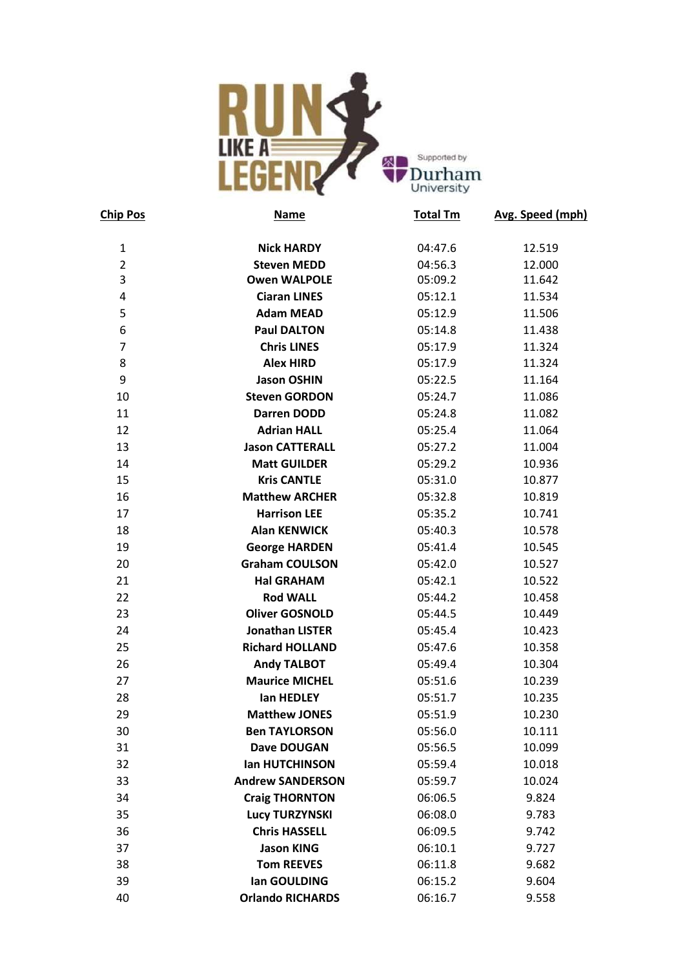

| <b>Chip Pos</b> | <b>Name</b>             | <b>Total Tm</b> | Avg. Speed (mph) |
|-----------------|-------------------------|-----------------|------------------|
| $\mathbf{1}$    | <b>Nick HARDY</b>       | 04:47.6         | 12.519           |
| $\overline{2}$  | <b>Steven MEDD</b>      | 04:56.3         | 12.000           |
| 3               | <b>Owen WALPOLE</b>     | 05:09.2         | 11.642           |
| 4               | <b>Ciaran LINES</b>     | 05:12.1         | 11.534           |
| 5               | <b>Adam MEAD</b>        | 05:12.9         | 11.506           |
| 6               | <b>Paul DALTON</b>      | 05:14.8         | 11.438           |
| $\overline{7}$  | <b>Chris LINES</b>      | 05:17.9         | 11.324           |
| 8               | <b>Alex HIRD</b>        | 05:17.9         | 11.324           |
| 9               | <b>Jason OSHIN</b>      | 05:22.5         | 11.164           |
| 10              | <b>Steven GORDON</b>    | 05:24.7         | 11.086           |
| 11              | <b>Darren DODD</b>      | 05:24.8         | 11.082           |
| 12              | <b>Adrian HALL</b>      | 05:25.4         | 11.064           |
| 13              | <b>Jason CATTERALL</b>  | 05:27.2         | 11.004           |
| 14              | <b>Matt GUILDER</b>     | 05:29.2         | 10.936           |
| 15              | <b>Kris CANTLE</b>      | 05:31.0         | 10.877           |
| 16              | <b>Matthew ARCHER</b>   | 05:32.8         | 10.819           |
| 17              | <b>Harrison LEE</b>     | 05:35.2         | 10.741           |
| 18              | <b>Alan KENWICK</b>     | 05:40.3         | 10.578           |
| 19              | <b>George HARDEN</b>    | 05:41.4         | 10.545           |
| 20              | <b>Graham COULSON</b>   | 05:42.0         | 10.527           |
| 21              | <b>Hal GRAHAM</b>       | 05:42.1         | 10.522           |
| 22              | <b>Rod WALL</b>         | 05:44.2         | 10.458           |
| 23              | <b>Oliver GOSNOLD</b>   | 05:44.5         | 10.449           |
| 24              | <b>Jonathan LISTER</b>  | 05:45.4         | 10.423           |
| 25              | <b>Richard HOLLAND</b>  | 05:47.6         | 10.358           |
| 26              | <b>Andy TALBOT</b>      | 05:49.4         | 10.304           |
| 27              | <b>Maurice MICHEL</b>   | 05:51.6         | 10.239           |
| 28              | lan HEDLEY              | 05:51.7         | 10.235           |
| 29              | <b>Matthew JONES</b>    | 05:51.9         | 10.230           |
| 30              | <b>Ben TAYLORSON</b>    | 05:56.0         | 10.111           |
| 31              | Dave DOUGAN             | 05:56.5         | 10.099           |
| 32              | <b>Ian HUTCHINSON</b>   | 05:59.4         | 10.018           |
| 33              | <b>Andrew SANDERSON</b> | 05:59.7         | 10.024           |
| 34              | <b>Craig THORNTON</b>   | 06:06.5         | 9.824            |
| 35              | <b>Lucy TURZYNSKI</b>   | 06:08.0         | 9.783            |
| 36              | <b>Chris HASSELL</b>    | 06:09.5         | 9.742            |
| 37              | <b>Jason KING</b>       | 06:10.1         | 9.727            |
| 38              | <b>Tom REEVES</b>       | 06:11.8         | 9.682            |
| 39              | lan GOULDING            | 06:15.2         | 9.604            |
| 40              | <b>Orlando RICHARDS</b> | 06:16.7         | 9.558            |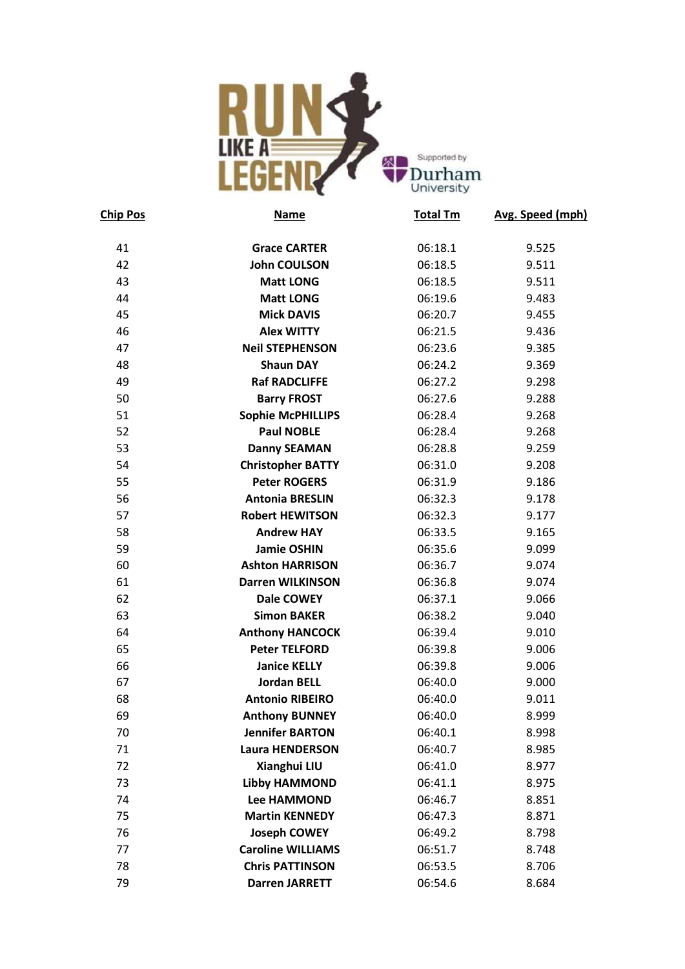

| <b>Chip Pos</b> | Name                     | <b>Total Tm</b> | Avg. Speed (mph) |
|-----------------|--------------------------|-----------------|------------------|
| 41              | <b>Grace CARTER</b>      | 06:18.1         | 9.525            |
| 42              | <b>John COULSON</b>      | 06:18.5         | 9.511            |
| 43              | <b>Matt LONG</b>         | 06:18.5         | 9.511            |
| 44              | <b>Matt LONG</b>         | 06:19.6         | 9.483            |
| 45              | <b>Mick DAVIS</b>        | 06:20.7         | 9.455            |
| 46              | <b>Alex WITTY</b>        | 06:21.5         | 9.436            |
| 47              | <b>Neil STEPHENSON</b>   | 06:23.6         | 9.385            |
| 48              | <b>Shaun DAY</b>         | 06:24.2         | 9.369            |
| 49              | <b>Raf RADCLIFFE</b>     | 06:27.2         | 9.298            |
| 50              | <b>Barry FROST</b>       | 06:27.6         | 9.288            |
| 51              | <b>Sophie McPHILLIPS</b> | 06:28.4         | 9.268            |
| 52              | <b>Paul NOBLE</b>        | 06:28.4         | 9.268            |
| 53              | <b>Danny SEAMAN</b>      | 06:28.8         | 9.259            |
| 54              | <b>Christopher BATTY</b> | 06:31.0         | 9.208            |
| 55              | <b>Peter ROGERS</b>      | 06:31.9         | 9.186            |
| 56              | <b>Antonia BRESLIN</b>   | 06:32.3         | 9.178            |
| 57              | <b>Robert HEWITSON</b>   | 06:32.3         | 9.177            |
| 58              | <b>Andrew HAY</b>        | 06:33.5         | 9.165            |
| 59              | <b>Jamie OSHIN</b>       | 06:35.6         | 9.099            |
| 60              | <b>Ashton HARRISON</b>   | 06:36.7         | 9.074            |
| 61              | <b>Darren WILKINSON</b>  | 06:36.8         | 9.074            |
| 62              | Dale COWEY               | 06:37.1         | 9.066            |
| 63              | <b>Simon BAKER</b>       | 06:38.2         | 9.040            |
| 64              | <b>Anthony HANCOCK</b>   | 06:39.4         | 9.010            |
| 65              | <b>Peter TELFORD</b>     | 06:39.8         | 9.006            |
| 66              | <b>Janice KELLY</b>      | 06:39.8         | 9.006            |
| 67              | <b>Jordan BELL</b>       | 06:40.0         | 9.000            |
| 68              | <b>Antonio RIBEIRO</b>   | 06:40.0         | 9.011            |
| 69              | <b>Anthony BUNNEY</b>    | 06:40.0         | 8.999            |
| 70              | <b>Jennifer BARTON</b>   | 06:40.1         | 8.998            |
| 71              | <b>Laura HENDERSON</b>   | 06:40.7         | 8.985            |
| 72              | Xianghui LIU             | 06:41.0         | 8.977            |
| 73              | <b>Libby HAMMOND</b>     | 06:41.1         | 8.975            |
| 74              | <b>Lee HAMMOND</b>       | 06:46.7         | 8.851            |
| 75              | <b>Martin KENNEDY</b>    | 06:47.3         | 8.871            |
| 76              | <b>Joseph COWEY</b>      | 06:49.2         | 8.798            |
| 77              | <b>Caroline WILLIAMS</b> | 06:51.7         | 8.748            |
| 78              | <b>Chris PATTINSON</b>   | 06:53.5         | 8.706            |
| 79              | <b>Darren JARRETT</b>    | 06:54.6         | 8.684            |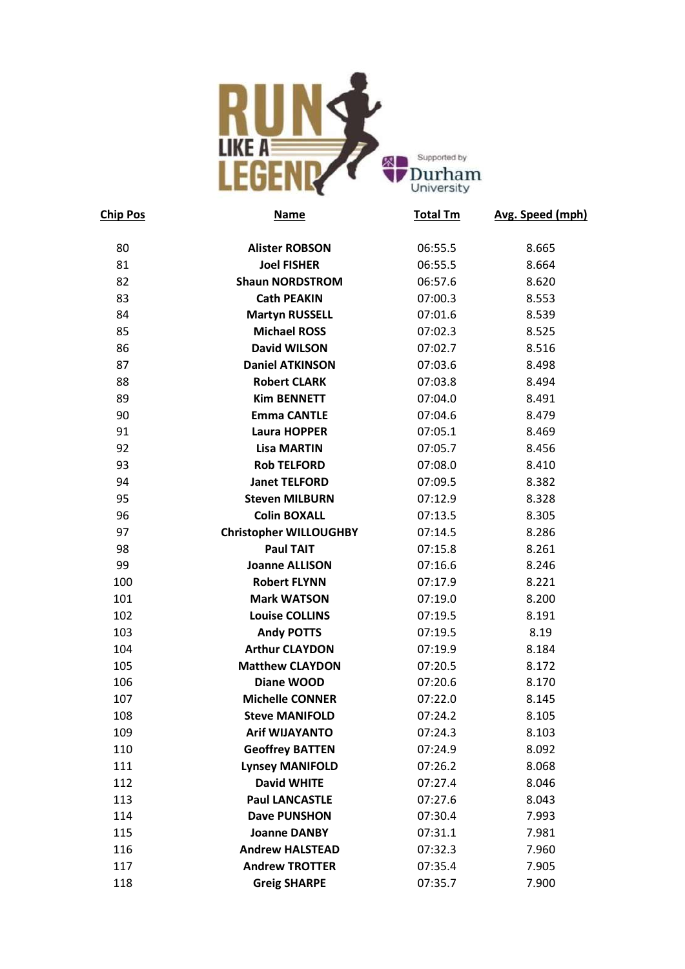

| <b>Chip Pos</b> | <b>Name</b>                   | <b>Total Tm</b> | Avg. Speed (mph) |
|-----------------|-------------------------------|-----------------|------------------|
| 80              | <b>Alister ROBSON</b>         | 06:55.5         | 8.665            |
| 81              | <b>Joel FISHER</b>            | 06:55.5         | 8.664            |
| 82              | <b>Shaun NORDSTROM</b>        | 06:57.6         | 8.620            |
| 83              | <b>Cath PEAKIN</b>            | 07:00.3         | 8.553            |
| 84              | <b>Martyn RUSSELL</b>         | 07:01.6         | 8.539            |
| 85              | <b>Michael ROSS</b>           | 07:02.3         | 8.525            |
| 86              | <b>David WILSON</b>           | 07:02.7         | 8.516            |
| 87              | <b>Daniel ATKINSON</b>        | 07:03.6         | 8.498            |
| 88              | <b>Robert CLARK</b>           | 07:03.8         | 8.494            |
| 89              | <b>Kim BENNETT</b>            | 07:04.0         | 8.491            |
| 90              | <b>Emma CANTLE</b>            | 07:04.6         | 8.479            |
| 91              | <b>Laura HOPPER</b>           | 07:05.1         | 8.469            |
| 92              | <b>Lisa MARTIN</b>            | 07:05.7         | 8.456            |
| 93              | <b>Rob TELFORD</b>            | 07:08.0         | 8.410            |
| 94              | <b>Janet TELFORD</b>          | 07:09.5         | 8.382            |
| 95              | <b>Steven MILBURN</b>         | 07:12.9         | 8.328            |
| 96              | <b>Colin BOXALL</b>           | 07:13.5         | 8.305            |
| 97              | <b>Christopher WILLOUGHBY</b> | 07:14.5         | 8.286            |
| 98              | <b>Paul TAIT</b>              | 07:15.8         | 8.261            |
| 99              | <b>Joanne ALLISON</b>         | 07:16.6         | 8.246            |
| 100             | <b>Robert FLYNN</b>           | 07:17.9         | 8.221            |
| 101             | <b>Mark WATSON</b>            | 07:19.0         | 8.200            |
| 102             | <b>Louise COLLINS</b>         | 07:19.5         | 8.191            |
| 103             | <b>Andy POTTS</b>             | 07:19.5         | 8.19             |
| 104             | <b>Arthur CLAYDON</b>         | 07:19.9         | 8.184            |
| 105             | <b>Matthew CLAYDON</b>        | 07:20.5         | 8.172            |
| 106             | Diane WOOD                    | 07:20.6         | 8.170            |
| 107             | <b>Michelle CONNER</b>        | 07:22.0         | 8.145            |
| 108             | <b>Steve MANIFOLD</b>         | 07:24.2         | 8.105            |
| 109             | <b>Arif WIJAYANTO</b>         | 07:24.3         | 8.103            |
| 110             | <b>Geoffrey BATTEN</b>        | 07:24.9         | 8.092            |
| 111             | <b>Lynsey MANIFOLD</b>        | 07:26.2         | 8.068            |
| 112             | <b>David WHITE</b>            | 07:27.4         | 8.046            |
| 113             | <b>Paul LANCASTLE</b>         | 07:27.6         | 8.043            |
| 114             | <b>Dave PUNSHON</b>           | 07:30.4         | 7.993            |
| 115             | <b>Joanne DANBY</b>           | 07:31.1         | 7.981            |
| 116             | <b>Andrew HALSTEAD</b>        | 07:32.3         | 7.960            |
| 117             | <b>Andrew TROTTER</b>         | 07:35.4         | 7.905            |
| 118             | <b>Greig SHARPE</b>           | 07:35.7         | 7.900            |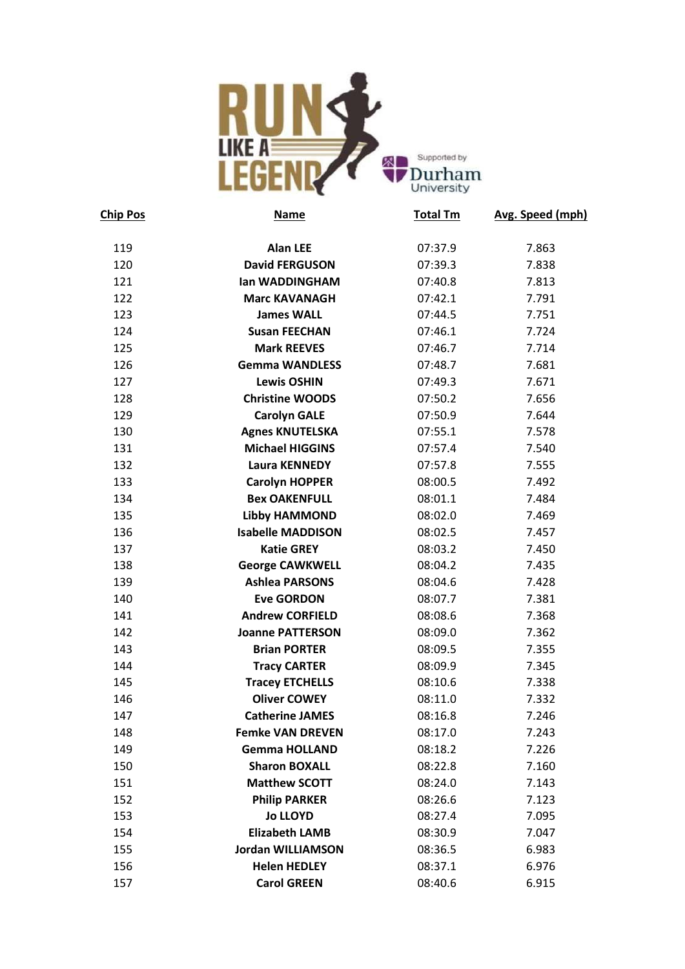

| <b>Chip Pos</b> | Name                     | <b>Total Tm</b> | Avg. Speed (mph) |
|-----------------|--------------------------|-----------------|------------------|
| 119             | <b>Alan LEE</b>          | 07:37.9         | 7.863            |
| 120             | <b>David FERGUSON</b>    | 07:39.3         | 7.838            |
| 121             | lan WADDINGHAM           | 07:40.8         | 7.813            |
| 122             | <b>Marc KAVANAGH</b>     | 07:42.1         | 7.791            |
| 123             | <b>James WALL</b>        | 07:44.5         | 7.751            |
| 124             | <b>Susan FEECHAN</b>     | 07:46.1         | 7.724            |
| 125             | <b>Mark REEVES</b>       | 07:46.7         | 7.714            |
| 126             | <b>Gemma WANDLESS</b>    | 07:48.7         | 7.681            |
| 127             | <b>Lewis OSHIN</b>       | 07:49.3         | 7.671            |
| 128             | <b>Christine WOODS</b>   | 07:50.2         | 7.656            |
| 129             | <b>Carolyn GALE</b>      | 07:50.9         | 7.644            |
| 130             | <b>Agnes KNUTELSKA</b>   | 07:55.1         | 7.578            |
| 131             | <b>Michael HIGGINS</b>   | 07:57.4         | 7.540            |
| 132             | <b>Laura KENNEDY</b>     | 07:57.8         | 7.555            |
| 133             | <b>Carolyn HOPPER</b>    | 08:00.5         | 7.492            |
| 134             | <b>Bex OAKENFULL</b>     | 08:01.1         | 7.484            |
| 135             | <b>Libby HAMMOND</b>     | 08:02.0         | 7.469            |
| 136             | <b>Isabelle MADDISON</b> | 08:02.5         | 7.457            |
| 137             | <b>Katie GREY</b>        | 08:03.2         | 7.450            |
| 138             | <b>George CAWKWELL</b>   | 08:04.2         | 7.435            |
| 139             | <b>Ashlea PARSONS</b>    | 08:04.6         | 7.428            |
| 140             | <b>Eve GORDON</b>        | 08:07.7         | 7.381            |
| 141             | <b>Andrew CORFIELD</b>   | 08:08.6         | 7.368            |
| 142             | <b>Joanne PATTERSON</b>  | 08:09.0         | 7.362            |
| 143             | <b>Brian PORTER</b>      | 08:09.5         | 7.355            |
| 144             | <b>Tracy CARTER</b>      | 08:09.9         | 7.345            |
| 145             | <b>Tracey ETCHELLS</b>   | 08:10.6         | 7.338            |
| 146             | <b>Oliver COWEY</b>      | 08:11.0         | 7.332            |
| 147             | <b>Catherine JAMES</b>   | 08:16.8         | 7.246            |
| 148             | <b>Femke VAN DREVEN</b>  | 08:17.0         | 7.243            |
| 149             | <b>Gemma HOLLAND</b>     | 08:18.2         | 7.226            |
| 150             | <b>Sharon BOXALL</b>     | 08:22.8         | 7.160            |
| 151             | <b>Matthew SCOTT</b>     | 08:24.0         | 7.143            |
| 152             | <b>Philip PARKER</b>     | 08:26.6         | 7.123            |
| 153             | <b>Jo LLOYD</b>          | 08:27.4         | 7.095            |
| 154             | <b>Elizabeth LAMB</b>    | 08:30.9         | 7.047            |
| 155             | <b>Jordan WILLIAMSON</b> | 08:36.5         | 6.983            |
| 156             | <b>Helen HEDLEY</b>      | 08:37.1         | 6.976            |
| 157             | <b>Carol GREEN</b>       | 08:40.6         | 6.915            |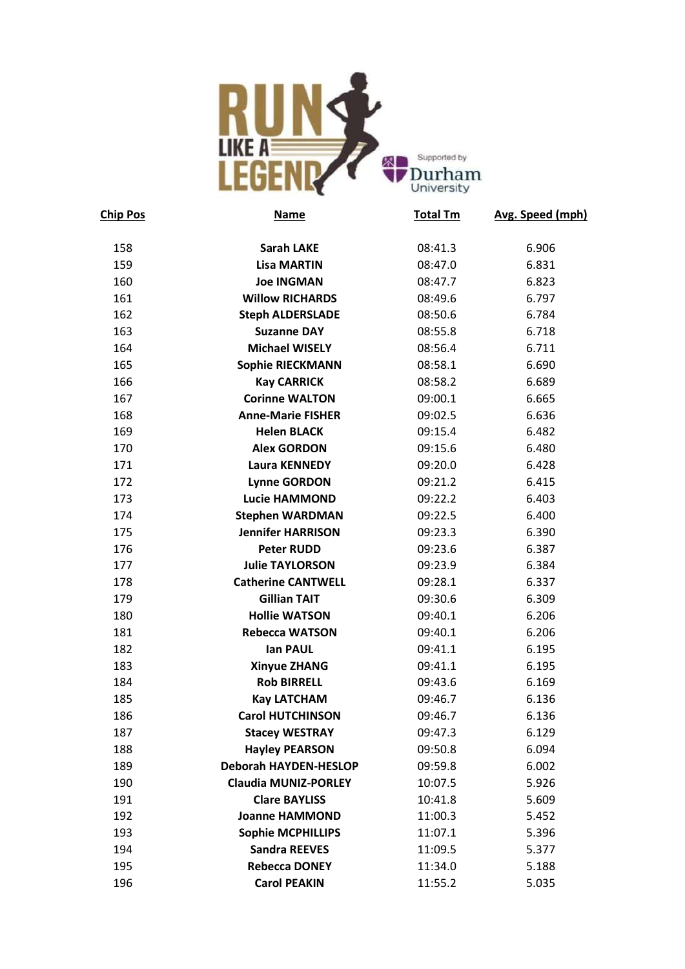

| <b>Chip Pos</b> | <b>Name</b>                  | <b>Total Tm</b> | Avg. Speed (mph) |
|-----------------|------------------------------|-----------------|------------------|
| 158             | <b>Sarah LAKE</b>            | 08:41.3         | 6.906            |
| 159             | <b>Lisa MARTIN</b>           | 08:47.0         | 6.831            |
| 160             | <b>Joe INGMAN</b>            | 08:47.7         | 6.823            |
| 161             | <b>Willow RICHARDS</b>       | 08:49.6         | 6.797            |
| 162             | <b>Steph ALDERSLADE</b>      | 08:50.6         | 6.784            |
| 163             | <b>Suzanne DAY</b>           | 08:55.8         | 6.718            |
| 164             | <b>Michael WISELY</b>        | 08:56.4         | 6.711            |
| 165             | <b>Sophie RIECKMANN</b>      | 08:58.1         | 6.690            |
| 166             | <b>Kay CARRICK</b>           | 08:58.2         | 6.689            |
| 167             | <b>Corinne WALTON</b>        | 09:00.1         | 6.665            |
| 168             | <b>Anne-Marie FISHER</b>     | 09:02.5         | 6.636            |
| 169             | <b>Helen BLACK</b>           | 09:15.4         | 6.482            |
| 170             | <b>Alex GORDON</b>           | 09:15.6         | 6.480            |
| 171             | Laura KENNEDY                | 09:20.0         | 6.428            |
| 172             | <b>Lynne GORDON</b>          | 09:21.2         | 6.415            |
| 173             | <b>Lucie HAMMOND</b>         | 09:22.2         | 6.403            |
| 174             | <b>Stephen WARDMAN</b>       | 09:22.5         | 6.400            |
| 175             | <b>Jennifer HARRISON</b>     | 09:23.3         | 6.390            |
| 176             | <b>Peter RUDD</b>            | 09:23.6         | 6.387            |
| 177             | <b>Julie TAYLORSON</b>       | 09:23.9         | 6.384            |
| 178             | <b>Catherine CANTWELL</b>    | 09:28.1         | 6.337            |
| 179             | <b>Gillian TAIT</b>          | 09:30.6         | 6.309            |
| 180             | <b>Hollie WATSON</b>         | 09:40.1         | 6.206            |
| 181             | <b>Rebecca WATSON</b>        | 09:40.1         | 6.206            |
| 182             | lan PAUL                     | 09:41.1         | 6.195            |
| 183             | <b>Xinyue ZHANG</b>          | 09:41.1         | 6.195            |
| 184             | <b>Rob BIRRELL</b>           | 09:43.6         | 6.169            |
| 185             | <b>Kay LATCHAM</b>           | 09:46.7         | 6.136            |
| 186             | <b>Carol HUTCHINSON</b>      | 09:46.7         | 6.136            |
| 187             | <b>Stacey WESTRAY</b>        | 09:47.3         | 6.129            |
| 188             | <b>Hayley PEARSON</b>        | 09:50.8         | 6.094            |
| 189             | <b>Deborah HAYDEN-HESLOP</b> | 09:59.8         | 6.002            |
| 190             | <b>Claudia MUNIZ-PORLEY</b>  | 10:07.5         | 5.926            |
| 191             | <b>Clare BAYLISS</b>         | 10:41.8         | 5.609            |
| 192             | <b>Joanne HAMMOND</b>        | 11:00.3         | 5.452            |
| 193             | <b>Sophie MCPHILLIPS</b>     | 11:07.1         | 5.396            |
| 194             | <b>Sandra REEVES</b>         | 11:09.5         | 5.377            |
| 195             | <b>Rebecca DONEY</b>         | 11:34.0         | 5.188            |
| 196             | <b>Carol PEAKIN</b>          | 11:55.2         | 5.035            |